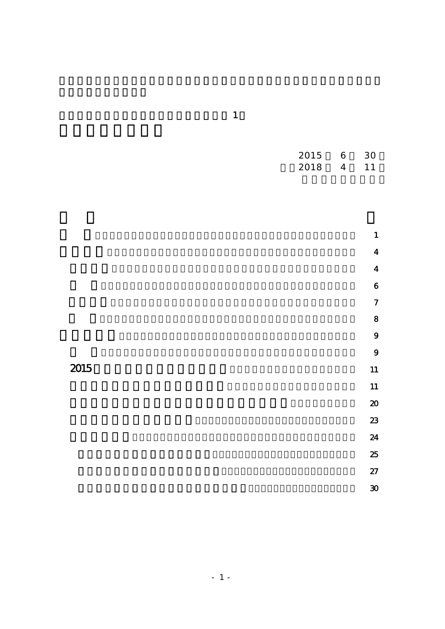|      | 2015<br>2018 | $\boldsymbol{6}$<br>$\overline{4}$ | $30\,$<br>$11$              |
|------|--------------|------------------------------------|-----------------------------|
|      |              |                                    |                             |
|      |              |                                    | $\mathbf{1}$                |
|      |              |                                    | $\overline{\mathbf{4}}$     |
|      |              |                                    | $\overline{\mathbf{4}}$     |
|      |              |                                    | $\boldsymbol{6}$            |
|      |              |                                    | $\overline{7}$              |
|      |              |                                    | 8                           |
|      |              |                                    | 9                           |
|      |              |                                    | 9                           |
| 2015 |              |                                    | 11                          |
|      |              |                                    | 11                          |
|      |              |                                    | $\pmb{\infty}$              |
|      |              |                                    | 23                          |
|      |              |                                    | 24<br>25                    |
|      |              |                                    | 27                          |
|      |              |                                    | $\boldsymbol{\mathfrak{D}}$ |
|      |              |                                    |                             |

 $\sim$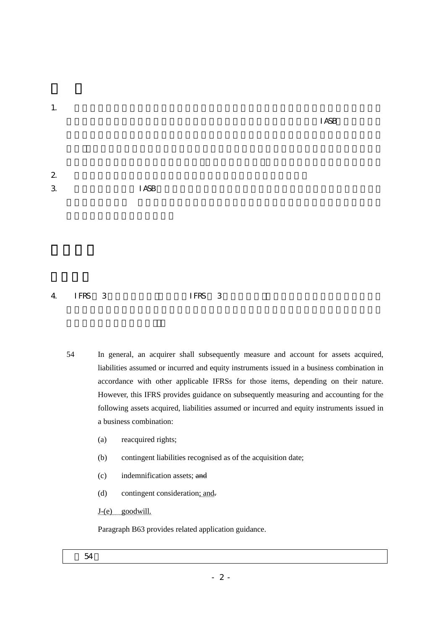1.  $\blacksquare$ 

 $I A S B$ 

| $\boldsymbol{2}$            |              |
|-----------------------------|--------------|
| $\mathcal{S}_{\mathcal{S}}$ | <b>I ASB</b> |

# $4$  IFRS 3 IFRS 3

- 54 In general, an acquirer shall subsequently measure and account for assets acquired, liabilities assumed or incurred and equity instruments issued in a business combination in accordance with other applicable IFRSs for those items, depending on their nature. However, this IFRS provides guidance on subsequently measuring and accounting for the following assets acquired, liabilities assumed or incurred and equity instruments issued in a business combination:
	- (a) reacquired rights;
	- (b) contingent liabilities recognised as of the acquisition date;
	- (c) indemnification assets; and
	- (d) contingent consideration; and-

# J-(e) goodwill.

Paragraph B63 provides related application guidance.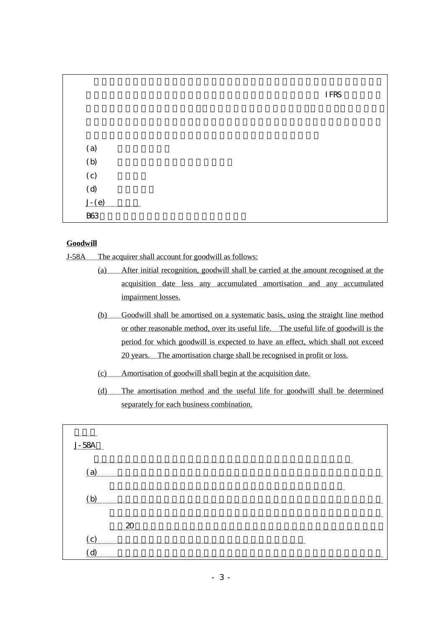|            |  | <b>IFRS</b> |
|------------|--|-------------|
|            |  |             |
|            |  |             |
|            |  |             |
| (a)        |  |             |
| (b)        |  |             |
| (c)        |  |             |
| (d)        |  |             |
| $J-(e)$    |  |             |
| <b>B63</b> |  |             |

## **Goodwill**

J-58A The acquirer shall account for goodwill as follows:

- (a) After initial recognition, goodwill shall be carried at the amount recognised at the acquisition date less any accumulated amortisation and any accumulated impairment losses.
- (b) Goodwill shall be amortised on a systematic basis, using the straight line method or other reasonable method, over its useful life. The useful life of goodwill is the period for which goodwill is expected to have an effect, which shall not exceed 20 years. The amortisation charge shall be recognised in profit or loss.
- (c) Amortisation of goodwill shall begin at the acquisition date.
- (d) The amortisation method and the useful life for goodwill shall be determined separately for each business combination.

| $\sim\sim\sim\sim\sim\sim\sim\sim$ |  |
|------------------------------------|--|
|                                    |  |
|                                    |  |
|                                    |  |
|                                    |  |
|                                    |  |
|                                    |  |
|                                    |  |
|                                    |  |
|                                    |  |
|                                    |  |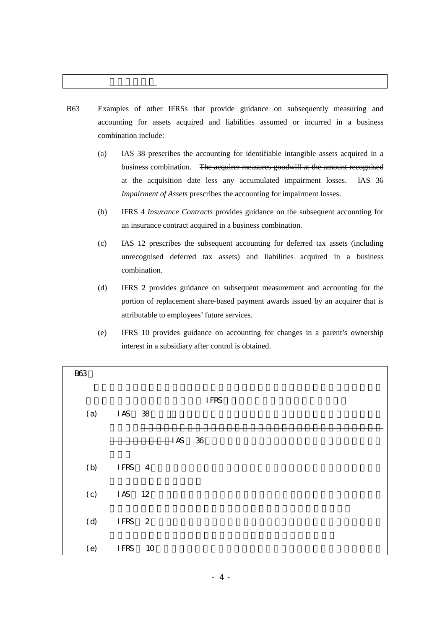# B63 Examples of other IFRSs that provide guidance on subsequently measuring and accounting for assets acquired and liabilities assumed or incurred in a business combination include:

- (a) IAS 38 prescribes the accounting for identifiable intangible assets acquired in a business combination. The acquirer measures goodwill at the amount recognised at the acquisition date less any accumulated impairment losses. IAS 36 *Impairment of Assets* prescribes the accounting for impairment losses.
- (b) IFRS 4 *Insurance Contracts* provides guidance on the subsequent accounting for an insurance contract acquired in a business combination.
- (c) IAS 12 prescribes the subsequent accounting for deferred tax assets (including unrecognised deferred tax assets) and liabilities acquired in a business combination.
- (d) IFRS 2 provides guidance on subsequent measurement and accounting for the portion of replacement share-based payment awards issued by an acquirer that is attributable to employees' future services.
- (e) IFRS 10 provides guidance on accounting for changes in a parent's ownership interest in a subsidiary after control is obtained.

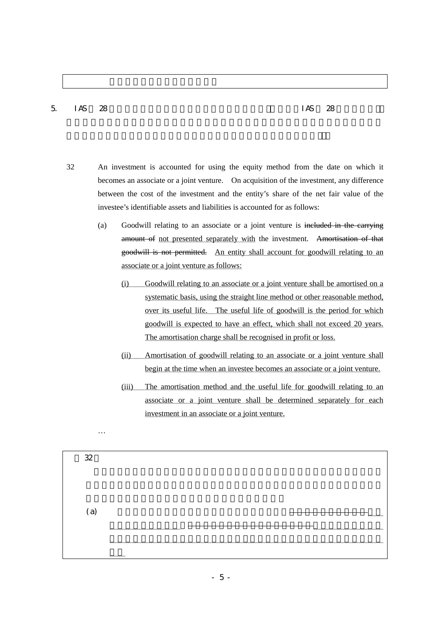### $5$  IAS  $28$  S

…

- 32 An investment is accounted for using the equity method from the date on which it becomes an associate or a joint venture. On acquisition of the investment, any difference between the cost of the investment and the entity's share of the net fair value of the investee's identifiable assets and liabilities is accounted for as follows:
	- (a) Goodwill relating to an associate or a joint venture is included in the carrying amount of not presented separately with the investment. Amortisation of that goodwill is not permitted. An entity shall account for goodwill relating to an associate or a joint venture as follows:
		- (i) Goodwill relating to an associate or a joint venture shall be amortised on a systematic basis, using the straight line method or other reasonable method, over its useful life. The useful life of goodwill is the period for which goodwill is expected to have an effect, which shall not exceed 20 years. The amortisation charge shall be recognised in profit or loss.
		- (ii) Amortisation of goodwill relating to an associate or a joint venture shall begin at the time when an investee becomes an associate or a joint venture.
		- (iii) The amortisation method and the useful life for goodwill relating to an associate or a joint venture shall be determined separately for each investment in an associate or a joint venture.

| 32           |               |     |
|--------------|---------------|-----|
|              |               |     |
|              |               |     |
|              |               |     |
|              |               |     |
|              |               |     |
|              |               |     |
| <sup>a</sup> |               | mmm |
|              |               |     |
|              |               |     |
|              |               |     |
|              |               |     |
|              |               |     |
|              | <u>www.ww</u> |     |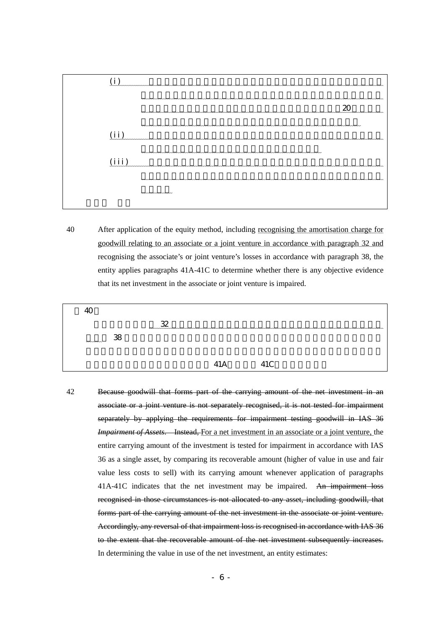

40 After application of the equity method, including recognising the amortisation charge for goodwill relating to an associate or a joint venture in accordance with paragraph 32 and recognising the associate's or joint venture's losses in accordance with paragraph 38, the entity applies paragraphs 41A-41C to determine whether there is any objective evidence that its net investment in the associate or joint venture is impaired.

| ⊿∩        |    |   |             |  |
|-----------|----|---|-------------|--|
|           |    | ഹ |             |  |
| $~\cdots$ | 38 |   |             |  |
|           |    |   |             |  |
|           |    |   | 11 $\Gamma$ |  |

42 Because goodwill that forms part of the carrying amount of the net investment in an associate or a joint venture is not separately recognised, it is not tested for impairment separately by applying the requirements for impairment testing goodwill in IAS 36 *Impairment of Assets.* Instead, For a net investment in an associate or a joint venture, the entire carrying amount of the investment is tested for impairment in accordance with IAS 36 as a single asset, by comparing its recoverable amount (higher of value in use and fair value less costs to sell) with its carrying amount whenever application of paragraphs 41A-41C indicates that the net investment may be impaired. An impairment loss recognised in those circumstances is not allocated to any asset, including goodwill, that forms part of the carrying amount of the net investment in the associate or joint venture. Accordingly, any reversal of that impairment loss is recognised in accordance with IAS 36 to the extent that the recoverable amount of the net investment subsequently increases. In determining the value in use of the net investment, an entity estimates: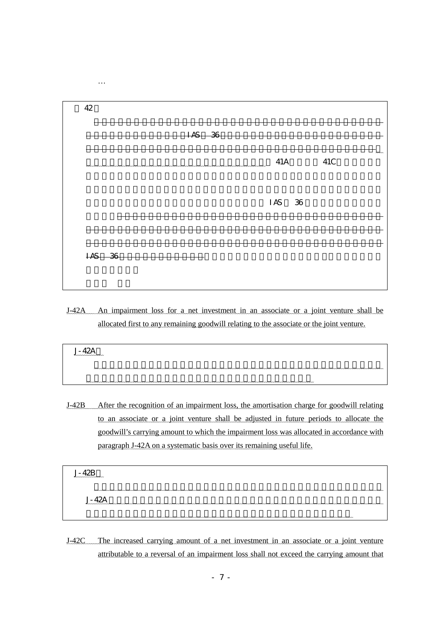

J-42A An impairment loss for a net investment in an associate or a joint venture shall be allocated first to any remaining goodwill relating to the associate or the joint venture.

| mmmmmmm |  |
|---------|--|
|         |  |
|         |  |

J-42B After the recognition of an impairment loss, the amortisation charge for goodwill relating to an associate or a joint venture shall be adjusted in future periods to allocate the goodwill's carrying amount to which the impairment loss was allocated in accordance with paragraph J-42A on a systematic basis over its remaining useful life.

J-42B 項

 $J-42A$ 

J-42C The increased carrying amount of a net investment in an associate or a joint venture attributable to a reversal of an impairment loss shall not exceed the carrying amount that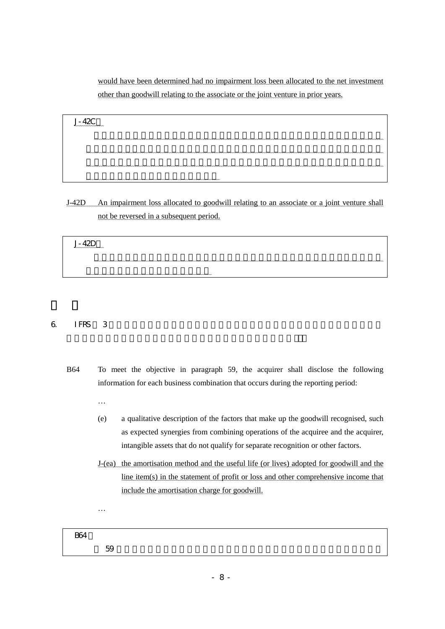would have been determined had no impairment loss been allocated to the net investment other than goodwill relating to the associate or the joint venture in prior years.

| nnnnnnnnnnnnn |
|---------------|
|               |
|               |
|               |
|               |

J-42D An impairment loss allocated to goodwill relating to an associate or a joint venture shall not be reversed in a subsequent period.

| $ -$<br>nnnnnnnnnnnnn |  |
|-----------------------|--|
|                       |  |
|                       |  |

# 6. IFRS 第 3 号における企業結合で取得したのれんの開示に関する規定について次の「削除

- B64 To meet the objective in paragraph 59, the acquirer shall disclose the following information for each business combination that occurs during the reporting period:
	- …
	- (e) a qualitative description of the factors that make up the goodwill recognised, such as expected synergies from combining operations of the acquiree and the acquirer, intangible assets that do not qualify for separate recognition or other factors.
	- J-(ea) the amortisation method and the useful life (or lives) adopted for goodwill and the line item(s) in the statement of profit or loss and other comprehensive income that include the amortisation charge for goodwill.

…

**B64**  $59$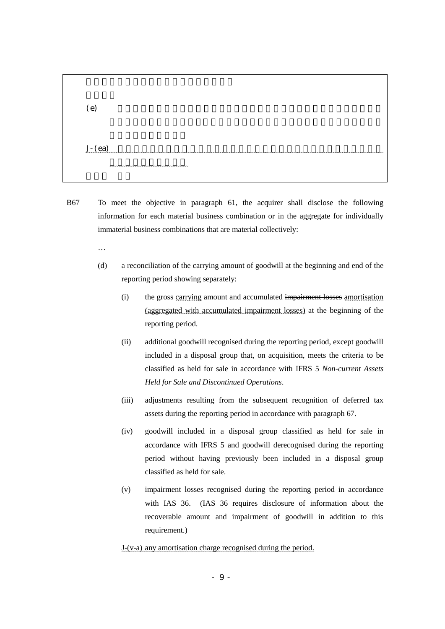| (e) |            |
|-----|------------|
|     | $J - (ea)$ |

- B67 To meet the objective in paragraph 61, the acquirer shall disclose the following information for each material business combination or in the aggregate for individually immaterial business combinations that are material collectively:
	- …
	- (d) a reconciliation of the carrying amount of goodwill at the beginning and end of the reporting period showing separately:
		- (i) the gross carrying amount and accumulated impairment losses amortisation (aggregated with accumulated impairment losses) at the beginning of the reporting period.
		- (ii) additional goodwill recognised during the reporting period, except goodwill included in a disposal group that, on acquisition, meets the criteria to be classified as held for sale in accordance with IFRS 5 *Non-current Assets Held for Sale and Discontinued Operations*.
		- (iii) adjustments resulting from the subsequent recognition of deferred tax assets during the reporting period in accordance with paragraph 67.
		- (iv) goodwill included in a disposal group classified as held for sale in accordance with IFRS 5 and goodwill derecognised during the reporting period without having previously been included in a disposal group classified as held for sale.
		- (v) impairment losses recognised during the reporting period in accordance with IAS 36. (IAS 36 requires disclosure of information about the recoverable amount and impairment of goodwill in addition to this requirement.)

J-(v-a) any amortisation charge recognised during the period.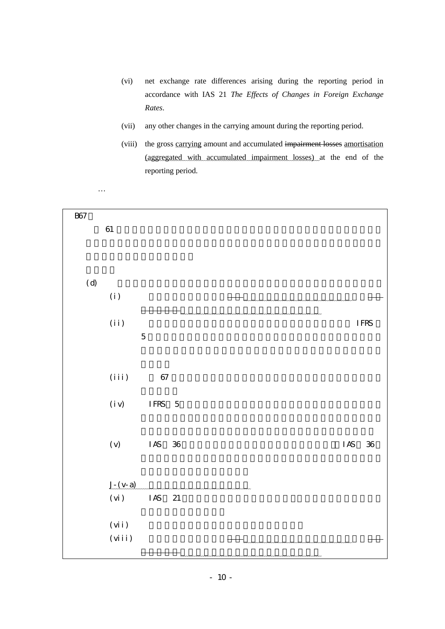- (vi) net exchange rate differences arising during the reporting period in accordance with IAS 21 *The Effects of Changes in Foreign Exchange Rates*.
- (vii) any other changes in the carrying amount during the reporting period.
- (viii) the gross carrying amount and accumulated impairment losses amortisation (aggregated with accumulated impairment losses) at the end of the reporting period.

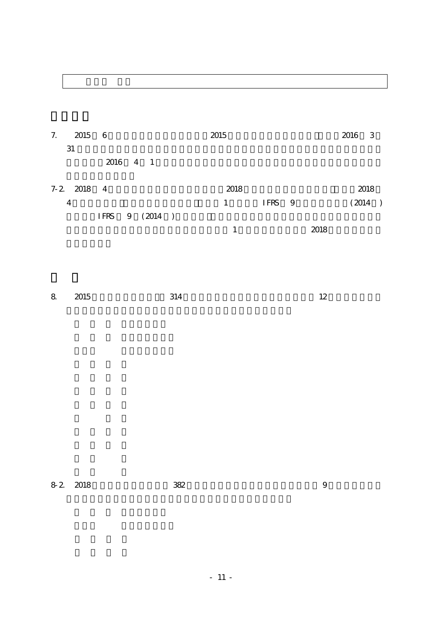# 7. 2015 6 2015 2015 **2016 3**  $31$  $2016$  4 1 7-2. 2018 4 2018 2018  $\sim$  2018

| 4 |  |                   |  | IFRS 9 |      | (2014) |  |
|---|--|-------------------|--|--------|------|--------|--|
|   |  | IFRS $9 \ (2014)$ |  |        |      |        |  |
|   |  |                   |  |        | 2018 |        |  |
|   |  |                   |  |        |      |        |  |

| 8 2015 | 314 | ᅭ<br>--- |
|--------|-----|----------|
|        |     |          |

| 8 2 2018 |  | 382 |  |
|----------|--|-----|--|
|----------|--|-----|--|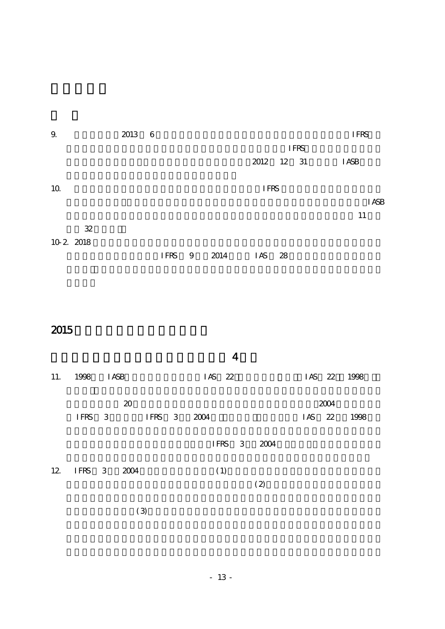| 9.              | 2013 6 |      |   |      |             |             | <b>IFRS</b>  |
|-----------------|--------|------|---|------|-------------|-------------|--------------|
|                 |        |      |   |      |             | <b>IFRS</b> |              |
|                 |        |      |   |      |             | 2012 12 31  | <b>I ASB</b> |
| 10 <sup>2</sup> |        |      |   |      | <b>IFRS</b> |             |              |
|                 |        |      |   |      |             |             | <b>I ASB</b> |
|                 |        |      |   |      |             |             | 11           |
| $32\,$          |        |      |   |      |             |             |              |
| 10 2 2018       |        |      |   |      |             |             |              |
|                 |        | IFRS | 9 | 2014 | I AS        | - 28        |              |
|                 |        |      |   |      |             |             |              |

 $2015$ 

| 11. 1998 IASB  |                | $1AS$ 22    | IAS 22 1998         |  |
|----------------|----------------|-------------|---------------------|--|
|                | 20<br>IFRS 3   | IFRS 3 2004 | 2004<br>IAS 22 1998 |  |
|                |                | IFRS 3 2004 |                     |  |
| 12 IFRS 3 2004 |                | (1)<br>(2)  |                     |  |
|                | $\mathfrak{B}$ |             |                     |  |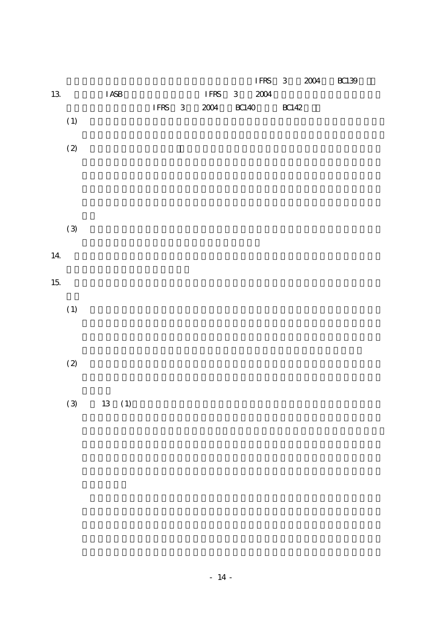|        |                                              |              |              |        |                                     |       | IFRS     | $\,3$       | $2004\,$ | $BC139$ |
|--------|----------------------------------------------|--------------|--------------|--------|-------------------------------------|-------|----------|-------------|----------|---------|
| $13\,$ |                                              | $\rm I\,ASB$ |              |        | $\ensuremath{\mathsf{IFRS}}\xspace$ | $\,3$ | $2004\,$ |             |          |         |
|        |                                              |              |              | IFRS 3 | $2004\,$                            | BC140 |          | $\rm BC142$ |          |         |
|        | $\left( \,1\right)$                          |              |              |        |                                     |       |          |             |          |         |
|        |                                              |              |              |        |                                     |       |          |             |          |         |
|        | $\relax\ifmmode( 2 \else (0) \label{12} \fi$ |              |              |        |                                     |       |          |             |          |         |
|        |                                              |              |              |        |                                     |       |          |             |          |         |
|        |                                              |              |              |        |                                     |       |          |             |          |         |
|        |                                              |              |              |        |                                     |       |          |             |          |         |
|        |                                              |              |              |        |                                     |       |          |             |          |         |
|        | $\left( 3\right)$                            |              |              |        |                                     |       |          |             |          |         |
|        |                                              |              |              |        |                                     |       |          |             |          |         |
| 14     |                                              |              |              |        |                                     |       |          |             |          |         |
|        |                                              |              |              |        |                                     |       |          |             |          |         |
| $15\,$ |                                              |              |              |        |                                     |       |          |             |          |         |
|        |                                              |              |              |        |                                     |       |          |             |          |         |
|        | $\left( \,1\right)$                          |              |              |        |                                     |       |          |             |          |         |
|        |                                              |              |              |        |                                     |       |          |             |          |         |
|        |                                              |              |              |        |                                     |       |          |             |          |         |
|        |                                              |              |              |        |                                     |       |          |             |          |         |
|        | $\relax\ifmmode( 2) \else (2) \fi$           |              |              |        |                                     |       |          |             |          |         |
|        |                                              |              |              |        |                                     |       |          |             |          |         |
|        |                                              |              |              |        |                                     |       |          |             |          |         |
|        | $\left( 3\right)$                            |              | $13\quad(1)$ |        |                                     |       |          |             |          |         |
|        |                                              |              |              |        |                                     |       |          |             |          |         |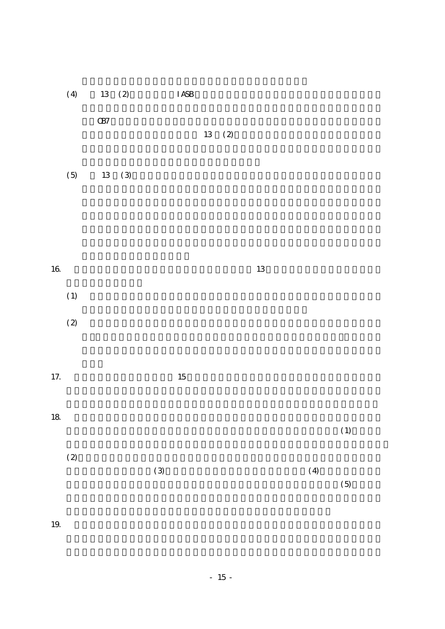|          | (4)                                | 13 (2)     |       |                   | $\rm I$ ASB |              |        |     |       |
|----------|------------------------------------|------------|-------|-------------------|-------------|--------------|--------|-----|-------|
|          |                                    | $\times 7$ |       |                   |             | $13\quad(2)$ |        |     |       |
|          |                                    |            |       |                   |             |              |        |     |       |
|          | $(5)$                              |            | 13(3) |                   |             |              |        |     |       |
|          |                                    |            |       |                   |             |              |        |     |       |
|          |                                    |            |       |                   |             |              |        |     |       |
| $16\,$   |                                    |            |       |                   |             |              | $13\,$ |     |       |
|          |                                    |            |       |                   |             |              |        |     |       |
|          | $\left( \,1\right)$                |            |       |                   |             |              |        |     |       |
|          | $\relax\ifmmode(2)\else$ (2) $\fi$ |            |       |                   |             |              |        |     |       |
|          |                                    |            |       |                   |             |              |        |     |       |
| $17. \,$ |                                    |            |       |                   | $15\,$      |              |        |     |       |
|          |                                    |            |       |                   |             |              |        |     |       |
| 18       |                                    |            |       |                   |             |              |        |     | (1)   |
|          | $\relax\ifmmode( 2) \else (2) \fi$ |            |       |                   |             |              |        |     |       |
|          |                                    |            |       | $\left( 3\right)$ |             |              |        | (4) |       |
|          |                                    |            |       |                   |             |              |        |     | $(5)$ |
|          |                                    |            |       |                   |             |              |        |     |       |

19.  $\blacksquare$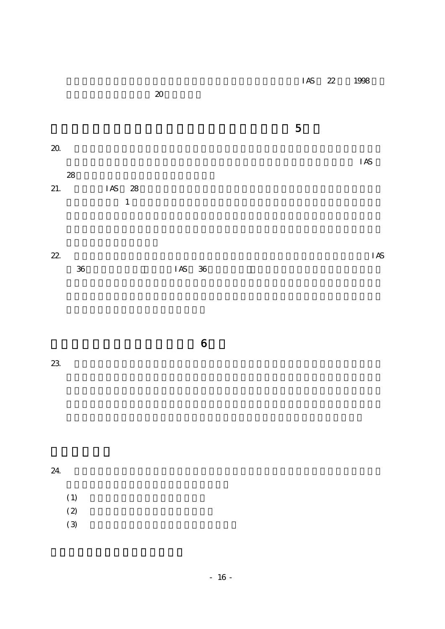|        |                                     |        |  |   | IAS 22 1998 |  |
|--------|-------------------------------------|--------|--|---|-------------|--|
|        |                                     | $20\,$ |  |   |             |  |
|        |                                     |        |  |   |             |  |
|        |                                     |        |  | 5 |             |  |
| $20\,$ |                                     |        |  |   |             |  |
|        |                                     |        |  |   | IAS         |  |
| 28     |                                     |        |  |   |             |  |
| 21.    | IAS 28                              |        |  |   |             |  |
|        | the contract of the contract of the |        |  |   |             |  |

| $\mathbf 1$ |  |  |  |
|-------------|--|--|--|
|             |  |  |  |
|             |  |  |  |

| 22. |          | <b>IAS</b> |
|-----|----------|------------|
| 36  | $IAS$ 36 |            |

 $23.$ 

|  | $6\overline{6}$ |  |
|--|-----------------|--|

 $24.$ 

- $(1)$
- $(2)$
- $(3)$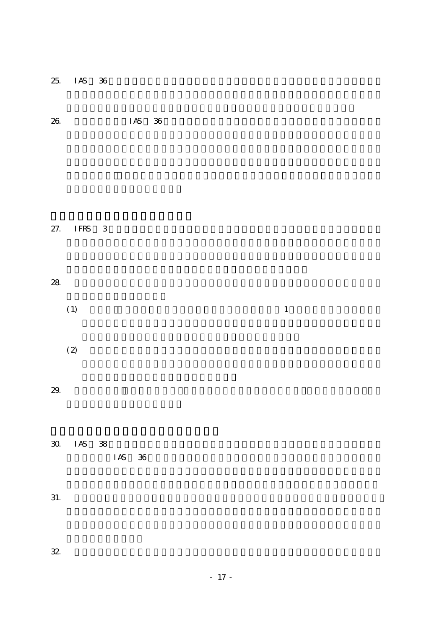| 25.                                | ${\rm I}\, {\rm AS}$<br>36 |        |              |  |
|------------------------------------|----------------------------|--------|--------------|--|
| $26\,$                             |                            | IAS 36 |              |  |
|                                    |                            |        |              |  |
|                                    |                            |        |              |  |
| 27.                                | IFRS 3                     |        |              |  |
|                                    |                            |        |              |  |
| ${\bf 28}$                         |                            |        |              |  |
| $\left( \,1\right)$                |                            |        | $\mathbf{1}$ |  |
| $\relax\ifmmode(2)\else$ (2) $\fi$ |                            |        |              |  |
| $29\,$                             |                            |        |              |  |
|                                    |                            |        |              |  |
|                                    | 30 IAS 38                  | IAS 36 |              |  |
|                                    |                            |        |              |  |
| 31.                                |                            |        |              |  |
| 32                                 |                            |        |              |  |